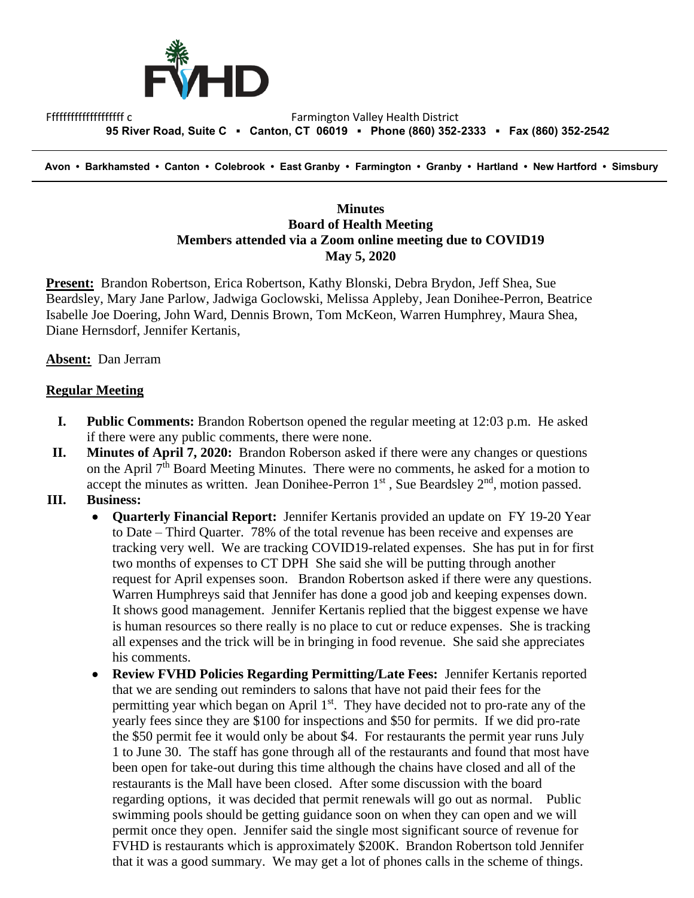

Ffffffffffffffffffffffffff c<br>Farmington Valley Health District  **95 River Road, Suite C ▪ Canton, CT 06019 ▪ Phone (860) 352-2333 ▪ Fax (860) 352-2542**

 **Avon • Barkhamsted • Canton • Colebrook • East Granby • Farmington • Granby • Hartland • New Hartford • Simsbury**

## **Minutes Board of Health Meeting Members attended via a Zoom online meeting due to COVID19 May 5, 2020**

**Present:** Brandon Robertson, Erica Robertson, Kathy Blonski, Debra Brydon, Jeff Shea, Sue Beardsley, Mary Jane Parlow, Jadwiga Goclowski, Melissa Appleby, Jean Donihee-Perron, Beatrice Isabelle Joe Doering, John Ward, Dennis Brown, Tom McKeon, Warren Humphrey, Maura Shea, Diane Hernsdorf, Jennifer Kertanis,

## **Absent:** Dan Jerram

## **Regular Meeting**

- **I. Public Comments:** Brandon Robertson opened the regular meeting at 12:03 p.m. He asked if there were any public comments, there were none.
- **II. Minutes of April 7, 2020:** Brandon Roberson asked if there were any changes or questions on the April  $7<sup>th</sup>$  Board Meeting Minutes. There were no comments, he asked for a motion to accept the minutes as written. Jean Donihee-Perron  $1<sup>st</sup>$ , Sue Beardsley  $2<sup>nd</sup>$ , motion passed.
- **III. Business:** 
	- **Quarterly Financial Report:** Jennifer Kertanis provided an update on FY 19-20 Year to Date – Third Quarter. 78% of the total revenue has been receive and expenses are tracking very well. We are tracking COVID19-related expenses. She has put in for first two months of expenses to CT DPH She said she will be putting through another request for April expenses soon. Brandon Robertson asked if there were any questions. Warren Humphreys said that Jennifer has done a good job and keeping expenses down. It shows good management. Jennifer Kertanis replied that the biggest expense we have is human resources so there really is no place to cut or reduce expenses. She is tracking all expenses and the trick will be in bringing in food revenue. She said she appreciates his comments.
	- **Review FVHD Policies Regarding Permitting/Late Fees:** Jennifer Kertanis reported that we are sending out reminders to salons that have not paid their fees for the permitting year which began on April 1<sup>st</sup>. They have decided not to pro-rate any of the yearly fees since they are \$100 for inspections and \$50 for permits. If we did pro-rate the \$50 permit fee it would only be about \$4. For restaurants the permit year runs July 1 to June 30. The staff has gone through all of the restaurants and found that most have been open for take-out during this time although the chains have closed and all of the restaurants is the Mall have been closed. After some discussion with the board regarding options, it was decided that permit renewals will go out as normal. Public swimming pools should be getting guidance soon on when they can open and we will permit once they open. Jennifer said the single most significant source of revenue for FVHD is restaurants which is approximately \$200K. Brandon Robertson told Jennifer that it was a good summary. We may get a lot of phones calls in the scheme of things.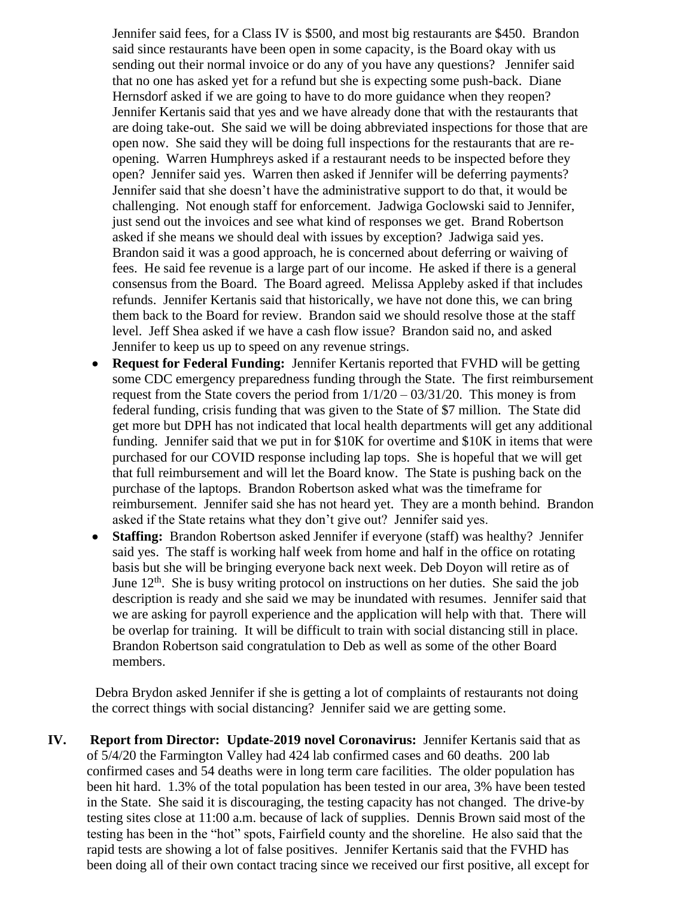Jennifer said fees, for a Class IV is \$500, and most big restaurants are \$450. Brandon said since restaurants have been open in some capacity, is the Board okay with us sending out their normal invoice or do any of you have any questions? Jennifer said that no one has asked yet for a refund but she is expecting some push-back. Diane Hernsdorf asked if we are going to have to do more guidance when they reopen? Jennifer Kertanis said that yes and we have already done that with the restaurants that are doing take-out. She said we will be doing abbreviated inspections for those that are open now. She said they will be doing full inspections for the restaurants that are reopening. Warren Humphreys asked if a restaurant needs to be inspected before they open? Jennifer said yes. Warren then asked if Jennifer will be deferring payments? Jennifer said that she doesn't have the administrative support to do that, it would be challenging. Not enough staff for enforcement. Jadwiga Goclowski said to Jennifer, just send out the invoices and see what kind of responses we get. Brand Robertson asked if she means we should deal with issues by exception? Jadwiga said yes. Brandon said it was a good approach, he is concerned about deferring or waiving of fees. He said fee revenue is a large part of our income. He asked if there is a general consensus from the Board. The Board agreed. Melissa Appleby asked if that includes refunds. Jennifer Kertanis said that historically, we have not done this, we can bring them back to the Board for review. Brandon said we should resolve those at the staff level. Jeff Shea asked if we have a cash flow issue? Brandon said no, and asked Jennifer to keep us up to speed on any revenue strings.

- **Request for Federal Funding:** Jennifer Kertanis reported that FVHD will be getting some CDC emergency preparedness funding through the State. The first reimbursement request from the State covers the period from  $1/1/20 - 03/31/20$ . This money is from federal funding, crisis funding that was given to the State of \$7 million. The State did get more but DPH has not indicated that local health departments will get any additional funding. Jennifer said that we put in for \$10K for overtime and \$10K in items that were purchased for our COVID response including lap tops. She is hopeful that we will get that full reimbursement and will let the Board know. The State is pushing back on the purchase of the laptops. Brandon Robertson asked what was the timeframe for reimbursement. Jennifer said she has not heard yet. They are a month behind. Brandon asked if the State retains what they don't give out? Jennifer said yes.
- **Staffing:** Brandon Robertson asked Jennifer if everyone (staff) was healthy? Jennifer said yes. The staff is working half week from home and half in the office on rotating basis but she will be bringing everyone back next week. Deb Doyon will retire as of June  $12<sup>th</sup>$ . She is busy writing protocol on instructions on her duties. She said the job description is ready and she said we may be inundated with resumes. Jennifer said that we are asking for payroll experience and the application will help with that. There will be overlap for training. It will be difficult to train with social distancing still in place. Brandon Robertson said congratulation to Deb as well as some of the other Board members.

Debra Brydon asked Jennifer if she is getting a lot of complaints of restaurants not doing the correct things with social distancing? Jennifer said we are getting some.

**IV. Report from Director: Update-2019 novel Coronavirus:** Jennifer Kertanis said that as of 5/4/20 the Farmington Valley had 424 lab confirmed cases and 60 deaths. 200 lab confirmed cases and 54 deaths were in long term care facilities. The older population has been hit hard. 1.3% of the total population has been tested in our area, 3% have been tested in the State. She said it is discouraging, the testing capacity has not changed. The drive-by testing sites close at 11:00 a.m. because of lack of supplies. Dennis Brown said most of the testing has been in the "hot" spots, Fairfield county and the shoreline. He also said that the rapid tests are showing a lot of false positives. Jennifer Kertanis said that the FVHD has been doing all of their own contact tracing since we received our first positive, all except for